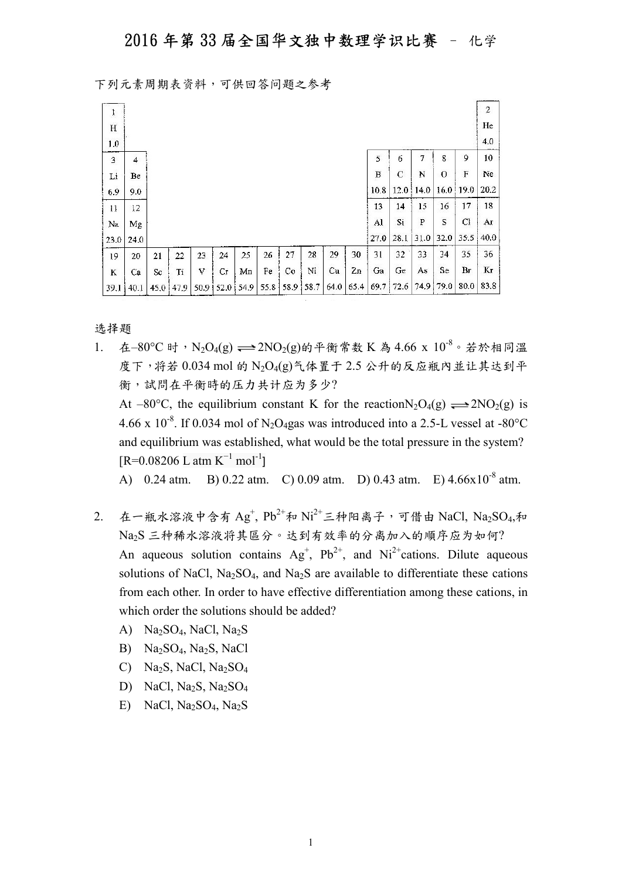下列元素周期表资料,可供回答问题之参考

| $\mathbf{I}$   |         |      |      |       |    |           |      |    |           |      |      |      |      |      |         |      | $\overline{2}$ |
|----------------|---------|------|------|-------|----|-----------|------|----|-----------|------|------|------|------|------|---------|------|----------------|
| $\overline{H}$ |         |      |      |       |    |           |      |    |           |      |      |      |      |      |         |      | He             |
| 1.0            |         |      |      |       |    |           |      |    |           |      |      |      |      |      |         |      | 4.0            |
| $\mathbf 3$    | 4       |      |      |       |    |           |      |    |           |      |      | 5    | 6    | 7    | 8       | 9    | 10             |
| Li             | Be      |      |      |       |    |           |      |    |           |      |      | B    | C    | N    | $\circ$ | F    | Ne             |
| 6.9            | 9.0     |      |      |       |    |           |      |    |           |      |      | 10.8 | 12.0 | 14.0 | 16.0    | 19.0 | 20.2           |
| 11             | $12 \,$ |      |      |       |    |           |      |    |           |      |      | 13   | 14   | 15   | 16      | 17   | 18             |
| Na             | Mg      |      |      |       |    |           |      |    |           |      |      | Al   | Si   | P    | S       | Cl   | Аr             |
| 23.0           | 24.0    |      |      |       |    |           |      |    |           |      |      | 27.0 | 28.1 | 31.0 | 32.0    | 35.5 | 40.0           |
| 19             | 20      | 21   | 22   | 23    | 24 | 25        | 26   | 27 | 28        | 29   | 30   | 31   | 32   | 33   | 34      | 35   | 36             |
| K              | Ca      | Sc   | Ti   | V     | Сr | Mn        | Fe   | Co | Ni        | Cu   | Zn   | Ga   | Ge   | As   | Se      | Br   | Kг             |
| 39.1           | 40.1    | 45,0 | 47.9 | 50.91 |    | 52.0 54.9 | 55.8 |    | 58.9 58.7 | 64.0 | 65.4 | 69.7 | 72.6 | 74.9 | 79.0    | 80.0 | 83.8           |

选择题

1. 在–80℃时, N<sub>2</sub>O<sub>4</sub>(g)  $\implies$  2NO<sub>2</sub>(g)的平衡常数 K 為 4.66 x 10<sup>-8</sup>。若於相同溫 度下,将若  $0.034$  mol 的  $N_2O_4(g)$ 气体置于  $2.5$  公升的反应瓶内並让其达到平 衡,試問在平衡時的压力共计应为多少?

At –80°C, the equilibrium constant K for the reaction $N_2O_4(g) \rightleftharpoons 2NO_2(g)$  is 4.66 x 10<sup>-8</sup>. If 0.034 mol of N<sub>2</sub>O<sub>4</sub>gas was introduced into a 2.5-L vessel at -80<sup>o</sup>C and equilibrium was established, what would be the total pressure in the system?  $[R=0.08206 \text{ L atm K}^{-1} \text{ mol}^{-1}]$ 

A) 0.24 atm. B) 0.22 atm. C) 0.09 atm. D) 0.43 atm. E) 4.66x10<sup>-8</sup> atm.

- $2. \quad$  在一瓶水溶液中含有  $\mathrm{Ag}^+$ ,  $\mathrm{Pb}^{2+}$ 和  $\mathrm{Ni}^{2+}$ 三种阳离子,可借由  $\mathrm{NaCl}, \ \mathrm{Na}_2\mathrm{SO}_4,$ 和 Na2S 三种稀水溶液将其區分。达到有效率的分离加入的順序应为如何? An aqueous solution contains  $Ag^+$ ,  $Pb^{2+}$ , and  $Ni^{2+}$ cations. Dilute aqueous solutions of NaCl,  $Na<sub>2</sub>SO<sub>4</sub>$ , and Na<sub>2</sub>S are available to differentiate these cations from each other. In order to have effective differentiation among these cations, in which order the solutions should be added?
	- A) Na<sub>2</sub>SO<sub>4</sub>, NaCl, Na<sub>2</sub>S
	- B) Na2SO4, Na2S, NaCl
	- C) Na<sub>2</sub>S, NaCl, Na<sub>2</sub>SO<sub>4</sub>
	- D) NaCl, Na<sub>2</sub>S, Na<sub>2</sub>SO<sub>4</sub>
	- E) NaCl,  $Na<sub>2</sub>SO<sub>4</sub>$ ,  $Na<sub>2</sub>S$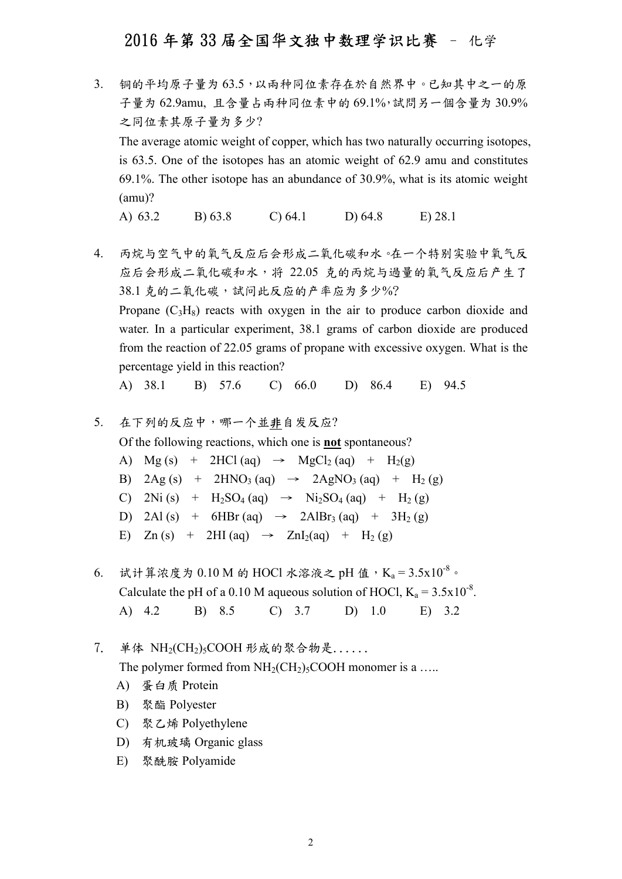3. 铜的平均原子量为 63.5,以兩种同位素存在於自然界中。已知其中之一的原 子量为 62.9amu, 且含量占兩种同位素中的 69.1%, 試問另一個含量为 30.9% 之同位素其原子量为多少? The average atomic weight of copper, which has two naturally occurring isotopes, is 63.5. One of the isotopes has an atomic weight of 62.9 amu and constitutes

69.1%. The other isotope has an abundance of 30.9%, what is its atomic weight

A) 63.2 B) 63.8 C) 64.1 D) 64.8 E) 28.1

4. 丙烷与空气中的氧气反应后会形成二氧化碳和水。在一个特别实验中氧气反 应后会形成二氧化碳和水,将 22.05 克的丙烷与過量的氧气反应后产生了 38.1 克的二氧化碳,試问此反应的产率应为多少%? Propane  $(C_3H_8)$  reacts with oxygen in the air to produce carbon dioxide and water. In a particular experiment, 38.1 grams of carbon dioxide are produced from the reaction of 22.05 grams of propane with excessive oxygen. What is the percentage yield in this reaction?

A) 38.1 B) 57.6 C) 66.0 D) 86.4 E) 94.5

- 5. 在下列的反应中,哪一个並非自发反应? Of the following reactions, which one is not spontaneous? A)  $Mg(s)$  + 2HCl (aq)  $\rightarrow$   $MgCl_2(aq)$  + H<sub>2</sub>(g) B)  $2Ag(s) + 2HNO<sub>3</sub>(aq) \rightarrow 2AgNO<sub>3</sub>(aq) + H<sub>2</sub>(g)$ C)  $2Ni(s) + H_2SO_4(aq) \rightarrow Ni_2SO_4(aq) + H_2(g)$ D) 2Al (s) + 6HBr (aq)  $\rightarrow$  2AlBr<sub>3</sub> (aq) + 3H<sub>2</sub> (g) E)  $Zn(s)$  +  $2HI (aq)$   $\rightarrow$   $ZnI_2(aq)$  +  $H_2(g)$
- 6. 试计算浓度为 0.10 M 的 HOCl 水溶液之 pH 值, K<sub>a</sub> = 3.5x10<sup>-8</sup>。 Calculate the pH of a 0.10 M aqueous solution of HOCl,  $K_a = 3.5 \times 10^{-8}$ . A) 4.2 B) 8.5 C) 3.7 D) 1.0 E) 3.2
- $7.$  单体 NH<sub>2</sub>(CH<sub>2</sub>)<sub>5</sub>COOH 形成的聚合物是...... The polymer formed from  $NH<sub>2</sub>(CH<sub>2</sub>)<sub>5</sub>COOH$  monomer is a .....
	- A) 蛋白质 Protein

(amu)?

- B) 聚酯 Polyester
- C) 聚乙烯 Polyethylene
- D) 有机玻璃 Organic glass
- E) 聚酰胺 Polyamide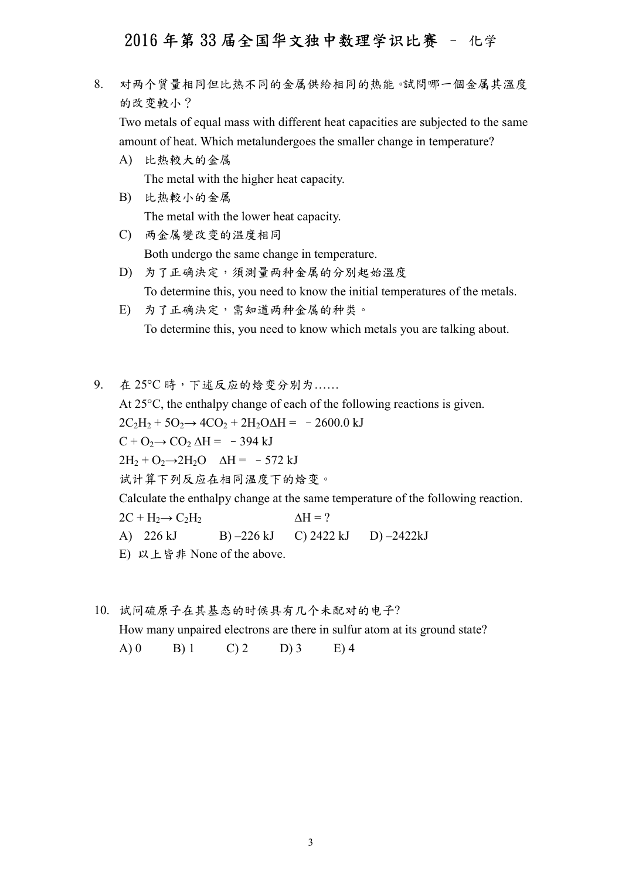8. 对两个質量相同但比热不同的金属供給相同的热能。試問哪一個金属其溫度 的改变較小?

Two metals of equal mass with different heat capacities are subjected to the same amount of heat. Which metalundergoes the smaller change in temperature?

- A) 比热較大的金属 The metal with the higher heat capacity.
- B) 比热較小的金属 The metal with the lower heat capacity.
- C) 两金属變改变的温度相同 Both undergo the same change in temperature.
- D) 为了正确決定, 須測量两种金属的分別起始溫度 To determine this, you need to know the initial temperatures of the metals.
- E) 为了正确決定,需知道两种金属的种类。 To determine this, you need to know which metals you are talking about.
- 9. 在 25°C 時,下述反应的焓变分別为…… At 25°C, the enthalpy change of each of the following reactions is given.  $2C_2H_2 + 5O_2 \rightarrow 4CO_2 + 2H_2O \Delta H = -2600.0 \text{ kJ}$  $C + O_2 \rightarrow CO_2 \Delta H = -394 \text{ kJ}$  $2H_2 + O_2 \rightarrow 2H_2$ O  $\Delta H = -572$  kJ 试计算下列反应在相同温度下的焓变。 Calculate the enthalpy change at the same temperature of the following reaction.  $2C + H_2 \rightarrow C_2H_2$   $\Delta H = ?$ A) 226 kJ B) –226 kJ C) 2422 kJ D) –2422kJ E) 以上皆非 None of the above.
- 10. 试问硫原子在其基态的时候具有几个未配对的电子? How many unpaired electrons are there in sulfur atom at its ground state? A) 0 B) 1 C) 2 D) 3 E) 4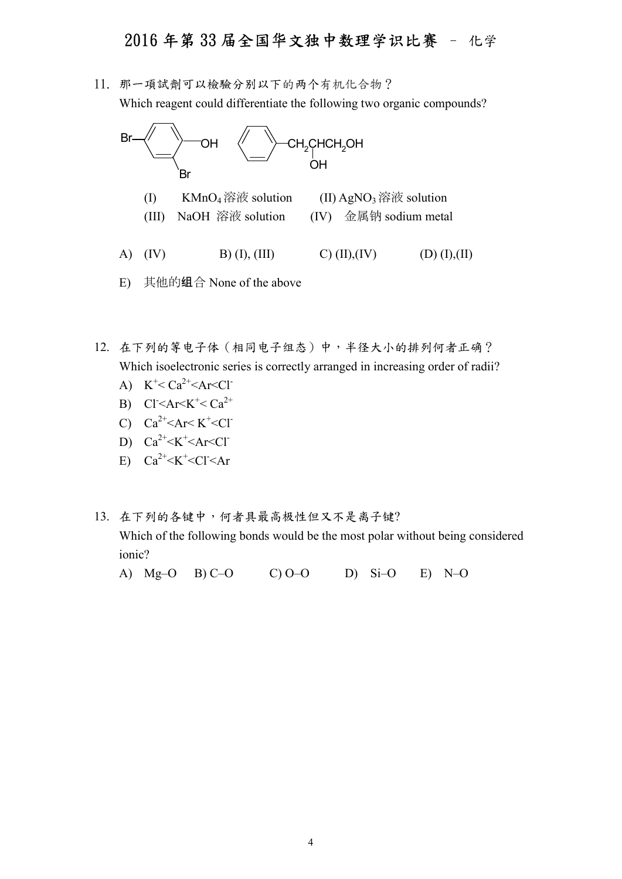11. 那一項試劑可以檢驗分别以下的两个有机化合物? Which reagent could differentiate the following two organic compounds?



- 12. 在下列的等电子体(相同电子组态)中,半径大小的排列何者正确? Which isoelectronic series is correctly arranged in increasing order of radii?
	- A)  $K^+$  <  $Ca^{2+}$  < Ar < Cl<sup>-</sup>
	- B)  $Cl+< Ca<sup>2+</sup>$
	- C)  $Ca^{2+} < A r < K^+ < C1$
	- D)  $Ca^{2+} < K^+ < Ar < Cl$
	- E)  $Ca^{2+} < K^+ < Cl < Ar$
- 13. 在下列的各键中,何者具最高极性但又不是离子键? Which of the following bonds would be the most polar without being considered ionic?
	- A) Mg–O B) C–O C) O–O D) Si–O E) N–O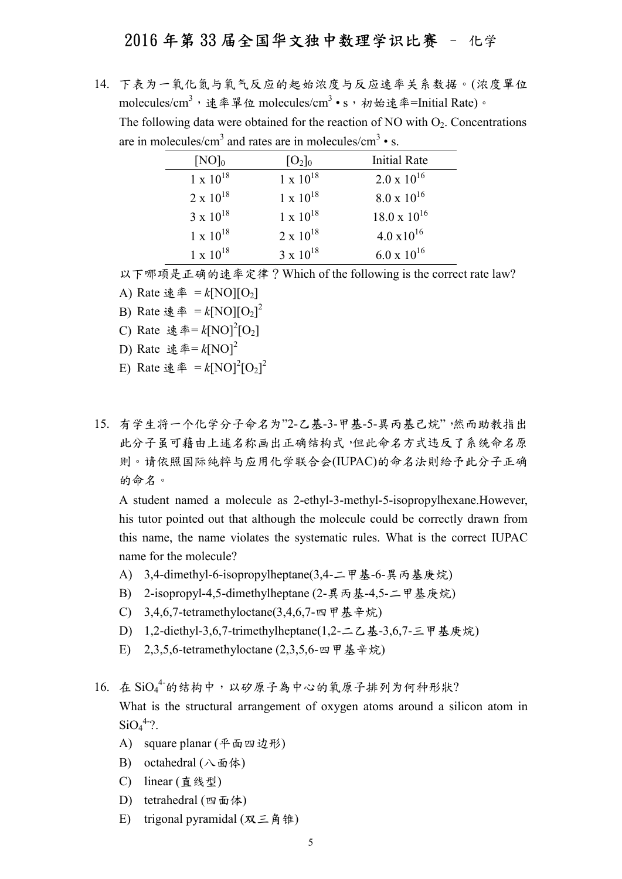14. 下表为一氧化氮与氧气反应的起始浓度与反应速率关系数据。(浓度單位 molecules/cm $^3$ ,速率單位 molecules/cm $^3$ •s,初始速率=Initial Rate)。 The following data were obtained for the reaction of NO with  $O_2$ . Concentrations are in molecules/cm<sup>3</sup> and rates are in molecules/cm<sup>3</sup> • s.

| $[NO]_0$           | $[O_2]_0$          | <b>Initial Rate</b>   |
|--------------------|--------------------|-----------------------|
| $1 \times 10^{18}$ | $1 \times 10^{18}$ | $2.0 \times 10^{16}$  |
| $2 \times 10^{18}$ | $1 \times 10^{18}$ | $8.0 \times 10^{16}$  |
| $3 \times 10^{18}$ | $1 \times 10^{18}$ | $18.0 \times 10^{16}$ |
| $1 \times 10^{18}$ | $2 \times 10^{18}$ | $4.0 \times 10^{16}$  |
| $1 \times 10^{18}$ | $3 \times 10^{18}$ | $6.0 \times 10^{16}$  |

以下哪项是正确的速率定律?Which of the following is the correct rate law?

- A) Rate 速率 =  $k[NO][O_2]$
- B) Rate 速率 =  $k[NO][O_2]^2$
- C) Rate 速率=  $k[NO]^2[O_2]$
- D) Rate 速率= $k[NO]^2$
- E) Rate 速率 =  $k[NO]^2[O_2]^2$
- 15. 有学生将一个化学分子命名为"2-乙基-3-甲基-5-異丙基己烷",然而助教指出 此分子虽可藉由上述名称画出正确结构式,但此命名方式违反了系统命名原 则。请依照国际纯粹与应用化学联合会(IUPAC)的命名法則給予此分子正确 的命名。

A student named a molecule as 2-ethyl-3-methyl-5-isopropylhexane.However, his tutor pointed out that although the molecule could be correctly drawn from this name, the name violates the systematic rules. What is the correct IUPAC name for the molecule?

- A) 3,4-dimethyl-6-isopropylheptane(3,4-二甲基-6-異丙基庚烷)
- B) 2-isopropyl-4,5-dimethylheptane (2-異丙基-4,5-二甲基庚烷)
- C) 3,4,6,7-tetramethyloctane(3,4,6,7-四甲基辛烷)
- D) 1,2-diethyl-3,6,7-trimethylheptane(1,2-二乙基-3,6,7-三甲基庚烷)
- E) 2,3,5,6-tetramethyloctane (2,3,5,6-四甲基辛烷)

16. 在 SiO44的结构中,以矽原子為中心的氧原子排列为何种形狀?

What is the structural arrangement of oxygen atoms around a silicon atom in  $SiO_4^{4-}$ ?.

- A) square planar (平面四边形)
- B) octahedral (八面体)
- C) linear (直线型)
- D) tetrahedral (四面体)
- E) trigonal pyramidal (双三角锥)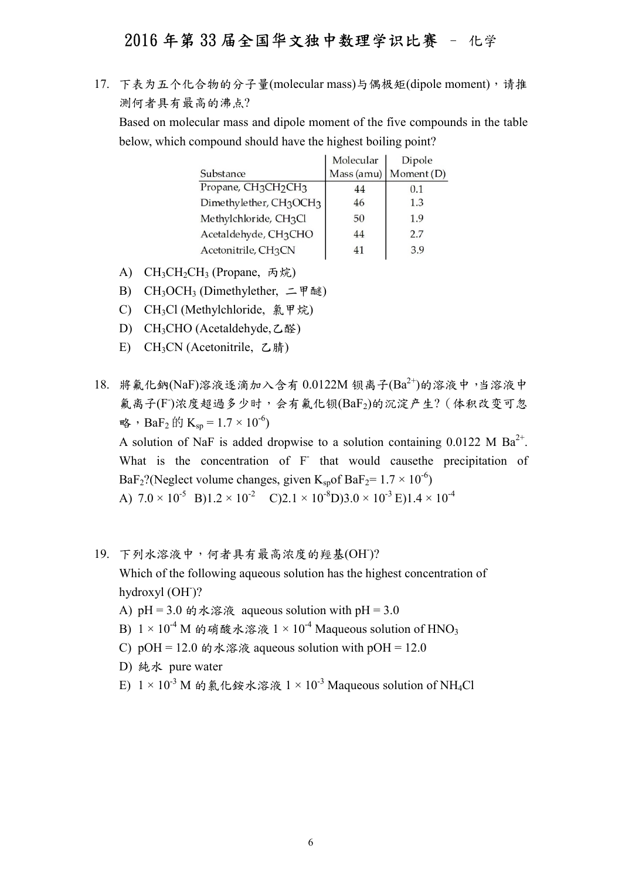17. 下表为五个化合物的分子量(molecular mass)与偶极矩(dipole moment), 请推 测何者具有最高的沸点?

Based on molecular mass and dipole moment of the five compounds in the table below, which compound should have the highest boiling point?

|                                                          | Molecular  | Dipole     |
|----------------------------------------------------------|------------|------------|
| Substance                                                | Mass (amu) | Moment (D) |
| Propane, CH <sub>3</sub> CH <sub>2</sub> CH <sub>3</sub> | 44         | 0.1        |
| Dimethylether, CH3OCH3                                   | 46         | 1.3        |
| Methylchloride, CH3Cl                                    | 50         | 1.9        |
| Acetaldehyde, CH3CHO                                     | 44         | 2.7        |
| Acetonitrile, CH3CN                                      | 41         | 3.9        |

- A) CH<sub>3</sub>CH<sub>2</sub>CH<sub>3</sub> (Propane, 丙烷)
- B) CH<sub>3</sub>OCH<sub>3</sub> (Dimethylether, 二甲醚)
- C) CH3Cl (Methylchloride, 氯甲烷)
- D) CH3CHO (Acetaldehyde,乙醛)
- E) CH3CN (Acetonitrile, 乙腈)
- $18.$  將氟化鈉(NaF)溶液逐滴加入含有 0.0122M 钡离子(Ba<sup>2+</sup>)的溶液中,当溶液中 氟离子(F)浓度超過多少时,会有氟化钡(BaF2)的沉淀产生? (体积改变可忽 略,  $BaF_2$  的  $K_{sp} = 1.7 \times 10^{-6}$ ) A solution of NaF is added dropwise to a solution containing  $0.0122 \text{ M Ba}^{2+}$ . What is the concentration of F that would causethe precipitation of

BaF<sub>2</sub>?(Neglect volume changes, given  $K_{\text{sp}}$  BaF<sub>2</sub>= 1.7 × 10<sup>-6</sup>) A)  $7.0 \times 10^{-5}$  B) $1.2 \times 10^{-2}$  C) $2.1 \times 10^{-8}$ D) $3.0 \times 10^{-3}$  E) $1.4 \times 10^{-4}$ 

- 19. 下列水溶液中,何者具有最高浓度的羥基(OH)? Which of the following aqueous solution has the highest concentration of hydroxyl (OH<sup>-</sup>)?
	- A)  $pH = 3.0$  的水溶液 aqueous solution with  $pH = 3.0$
	- B)  $1 \times 10^{-4}$  M 的硝酸水溶液  $1 \times 10^{-4}$  Maqueous solution of HNO<sub>3</sub>
	- C)  $pOH = 12.0$  的水溶液 aqueous solution with  $pOH = 12.0$
	- D) 純水 pure water
	- E)  $1 \times 10^{-3}$  M 的氯化銨水溶液  $1 \times 10^{-3}$  Maqueous solution of NH<sub>4</sub>Cl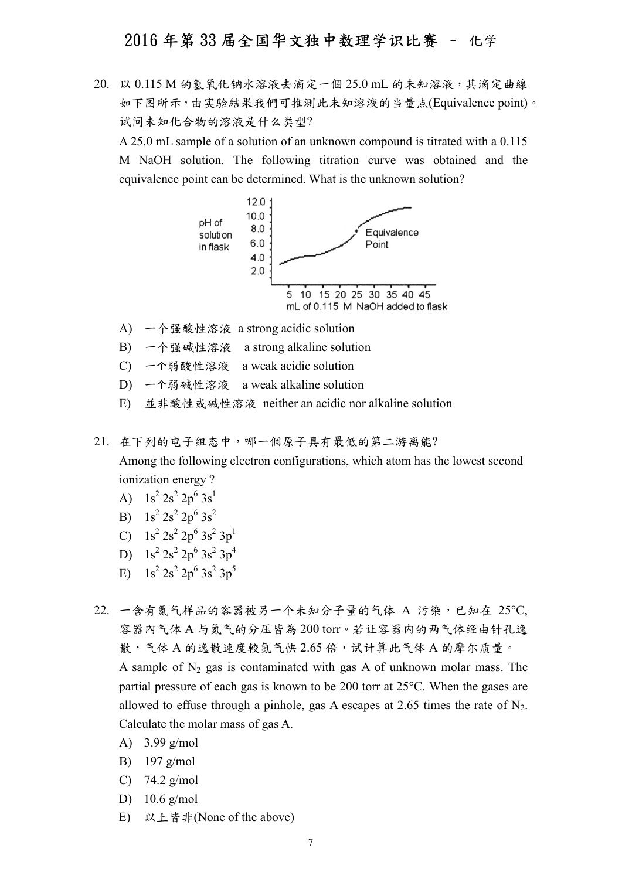20. 以 0.115 M 的氢氧化钠水溶液去滴定一個 25.0 mL 的未知溶液,其滴定曲線 如下图所示,由实验結果我們可推測此未知溶液的当量点(Equivalence point)。 试问未知化合物的溶液是什么类型?

A 25.0 mL sample of a solution of an unknown compound is titrated with a 0.115 M NaOH solution. The following titration curve was obtained and the equivalence point can be determined. What is the unknown solution?



A) 一个强酸性溶液 a strong acidic solution

B) 一个强碱性溶液 a strong alkaline solution

C) 一个弱酸性溶液 a weak acidic solution

- D) 一个弱碱性溶液 a weak alkaline solution
- E) 並非酸性或碱性溶液 neither an acidic nor alkaline solution
- 21. 在下列的电子组态中,哪一個原子具有最低的第二游离能?

Among the following electron configurations, which atom has the lowest second ionization energy ?

- A)  $1s^2 2s^2 2p^6 3s^1$
- B)  $1s^2 2s^2 2p^6 3s^2$
- C)  $1s^2 2s^2 2p^6 3s^2 3p^1$
- D)  $1s^2 2s^2 2p^6 3s^2 3p^4$
- E)  $1s^2 2s^2 2p^6 3s^2 3p^5$
- 22. 一含有氮气样品的容器被另一个未知分子量的气体 A 污染,已知在 25℃, 容器內气体 A 与氮气的分压皆為 200 torr。若让容器内的两气体经由针孔逸 散,气体 A 的逸散速度較氮气快 2.65 倍,试计算此气体 A 的摩尔质量。 A sample of  $N_2$  gas is contaminated with gas A of unknown molar mass. The partial pressure of each gas is known to be 200 torr at 25°C. When the gases are allowed to effuse through a pinhole, gas A escapes at 2.65 times the rate of  $N_2$ . Calculate the molar mass of gas A.
	- A) 3.99 g/mol
	- B) 197 g/mol
	- C) 74.2 g/mol
	- D) 10.6 g/mol
	- E) 以上皆非(None of the above)